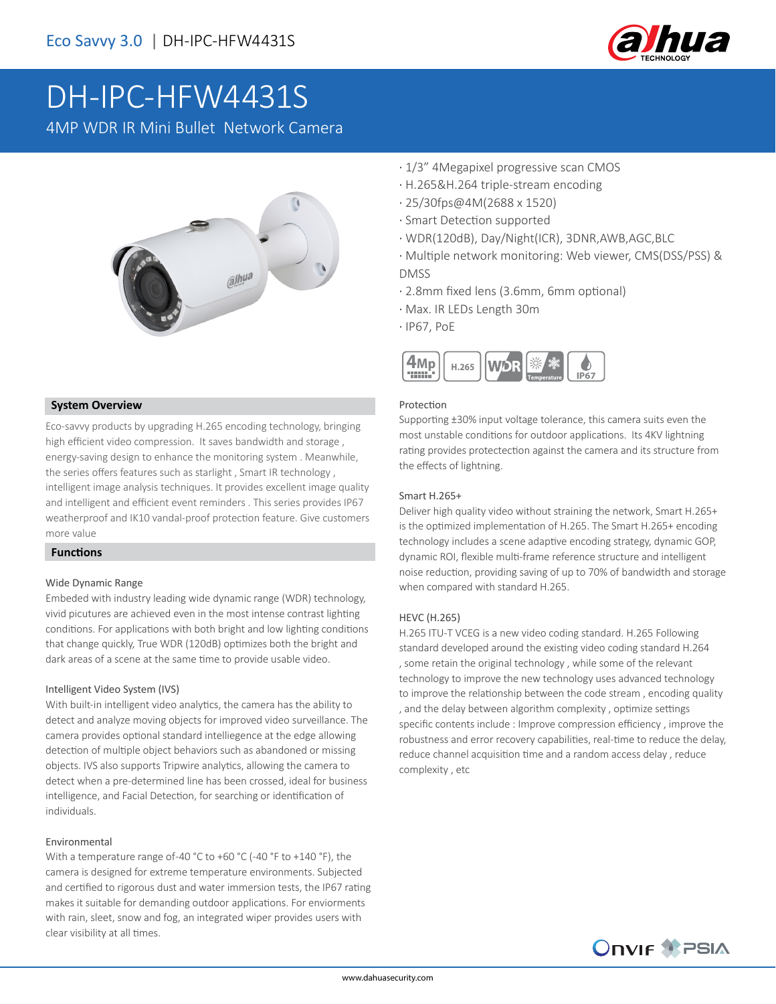

# DH-IPC-HFW4431S

4MP WDR IR Mini Bullet Network Camera



#### **System Overview**

Eco-savvy products by upgrading H.265 encoding technology, bringing high efficient video compression. It saves bandwidth and storage , energy-saving design to enhance the monitoring system . Meanwhile, the series offers features such as starlight , Smart IR technology , intelligent image analysis techniques. It provides excellent image quality and intelligent and efficient event reminders . This series provides IP67 weatherproof and IK10 vandal-proof protection feature. Give customers more value

#### **Functions**

#### Wide Dynamic Range

Embeded with industry leading wide dynamic range (WDR) technology, vivid picutures are achieved even in the most intense contrast lighting conditions. For applications with both bright and low lighting conditions that change quickly, True WDR (120dB) optimizes both the bright and dark areas of a scene at the same time to provide usable video.

#### Intelligent Video System (IVS)

With built-in intelligent video analytics, the camera has the ability to detect and analyze moving objects for improved video surveillance. The camera provides optional standard intelliegence at the edge allowing detection of multiple object behaviors such as abandoned or missing objects. IVS also supports Tripwire analytics, allowing the camera to detect when a pre-determined line has been crossed, ideal for business intelligence, and Facial Detection, for searching or identification of individuals.

#### Environmental

With a temperature range of -40 °C to +60 °C (-40 °F to +140 °F), the camera is designed for extreme temperature environments. Subjected and certified to rigorous dust and water immersion tests, the IP67 rating makes it suitable for demanding outdoor applications. For enviorments with rain, sleet, snow and fog, an integrated wiper provides users with clear visibility at all times.

- · 1/3" 4Megapixel progressive scan CMOS
- · H.265&H.264 triple-stream encoding
- · 25/30fps@4M(2688 x 1520)
- · Smart Detection supported
- · WDR(120dB), Day/Night(ICR), 3DNR,AWB,AGC,BLC
- · Multiple network monitoring: Web viewer, CMS(DSS/PSS) & DMSS
- · 2.8mm fixed lens (3.6mm, 6mm optional)
- · Max. IR LEDs Length 30m
- · IP67, PoE



#### Protection

Supporting ±30% input voltage tolerance, this camera suits even the most unstable conditions for outdoor applications. Its 4KV lightning rating provides protectection against the camera and its structure from the effects of lightning.

#### Smart H.265+

Deliver high quality video without straining the network, Smart H.265+ is the optimized implementation of H.265. The Smart H.265+ encoding technology includes a scene adaptive encoding strategy, dynamic GOP, dynamic ROI, flexible multi-frame reference structure and intelligent noise reduction, providing saving of up to 70% of bandwidth and storage when compared with standard H.265.

#### HEVC (H.265)

H.265 ITU-T VCEG is a new video coding standard. H.265 Following standard developed around the existing video coding standard H.264 , some retain the original technology , while some of the relevant technology to improve the new technology uses advanced technology to improve the relationship between the code stream , encoding quality , and the delay between algorithm complexity , optimize settings specific contents include : Improve compression efficiency , improve the robustness and error recovery capabilities, real-time to reduce the delay, reduce channel acquisition time and a random access delay , reduce complexity , etc

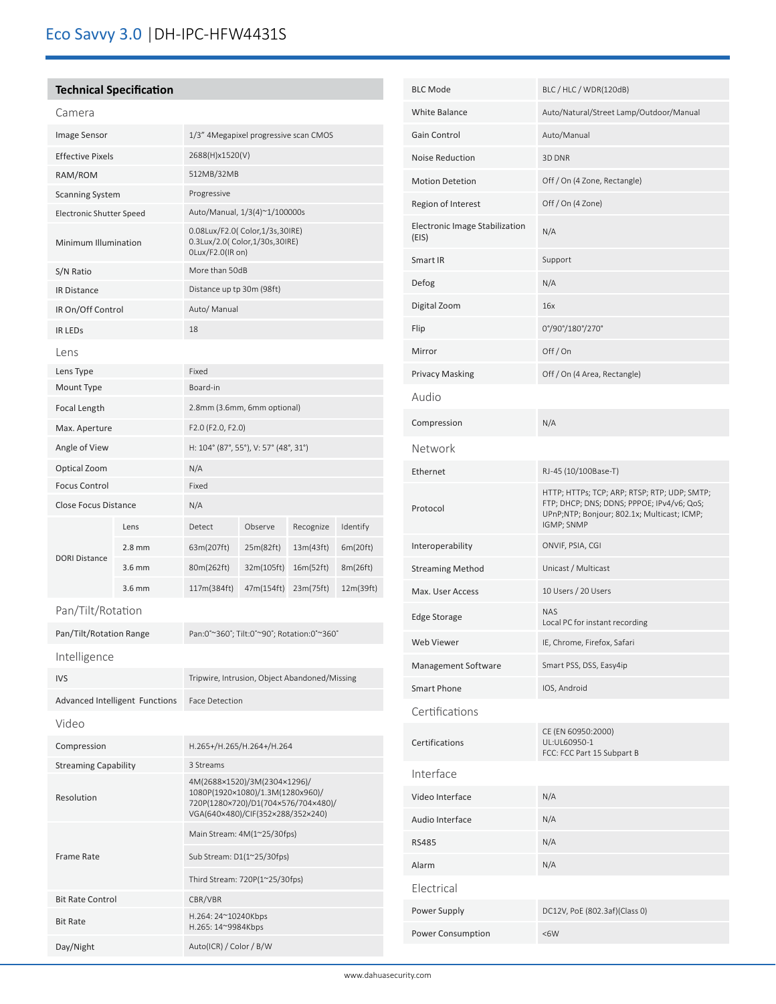# **Technical Specification**

| rr |  |
|----|--|

ׇ֚֬

| Image Sensor                    |                                       | 1/3" 4Megapixel progressive scan CMOS                                                                                                        |            |           |           |
|---------------------------------|---------------------------------------|----------------------------------------------------------------------------------------------------------------------------------------------|------------|-----------|-----------|
| <b>Effective Pixels</b>         |                                       | 2688(H)x1520(V)                                                                                                                              |            |           |           |
| RAM/ROM                         |                                       | 512MB/32MB                                                                                                                                   |            |           |           |
| <b>Scanning System</b>          |                                       | Progressive                                                                                                                                  |            |           |           |
| <b>Electronic Shutter Speed</b> |                                       | Auto/Manual, 1/3(4)~1/100000s                                                                                                                |            |           |           |
| Minimum Illumination            |                                       | 0.08Lux/F2.0( Color,1/3s,30IRE)<br>0.3Lux/2.0( Color, 1/30s, 30IRE)<br>OLux/F2.0(IR on)                                                      |            |           |           |
| S/N Ratio                       |                                       | More than 50dB                                                                                                                               |            |           |           |
| <b>IR Distance</b>              |                                       | Distance up tp 30m (98ft)                                                                                                                    |            |           |           |
| IR On/Off Control               |                                       | Auto/ Manual                                                                                                                                 |            |           |           |
| <b>IR LEDS</b>                  |                                       | 18                                                                                                                                           |            |           |           |
| Lens                            |                                       |                                                                                                                                              |            |           |           |
| Lens Type                       |                                       | Fixed                                                                                                                                        |            |           |           |
| Mount Type                      |                                       | Board-in                                                                                                                                     |            |           |           |
| Focal Length                    |                                       | 2.8mm (3.6mm, 6mm optional)                                                                                                                  |            |           |           |
| Max. Aperture                   |                                       | F2.0 (F2.0, F2.0)                                                                                                                            |            |           |           |
| Angle of View                   |                                       | H: 104° (87°, 55°), V: 57° (48°, 31°)                                                                                                        |            |           |           |
| Optical Zoom                    |                                       | N/A                                                                                                                                          |            |           |           |
| <b>Focus Control</b>            |                                       | Fixed                                                                                                                                        |            |           |           |
| Close Focus Distance            |                                       | N/A                                                                                                                                          |            |           |           |
|                                 | Lens                                  | Detect                                                                                                                                       | Observe    | Recognize | Identify  |
|                                 | $2.8 \text{ mm}$                      | 63m(207ft)                                                                                                                                   | 25m(82ft)  | 13m(43ft) | 6m(20ft)  |
| <b>DORI Distance</b>            | $3.6$ mm                              | 80m(262ft)                                                                                                                                   | 32m(105ft) | 16m(52ft) | 8m(26ft)  |
|                                 | 3.6 mm                                | 117m(384ft)                                                                                                                                  | 47m(154ft) | 23m(75ft) | 12m(39ft) |
| Pan/Tilt/Rotation               |                                       |                                                                                                                                              |            |           |           |
| Pan/Tilt/Rotation Range         |                                       | Pan:0°~360°; Tilt:0°~90°; Rotation:0°~360°                                                                                                   |            |           |           |
| Intelligence                    |                                       |                                                                                                                                              |            |           |           |
| <b>IVS</b>                      |                                       | Tripwire, Intrusion, Object Abandoned/Missing                                                                                                |            |           |           |
|                                 | <b>Advanced Intelligent Functions</b> | <b>Face Detection</b>                                                                                                                        |            |           |           |
| Video                           |                                       |                                                                                                                                              |            |           |           |
| Compression                     |                                       |                                                                                                                                              |            |           |           |
| <b>Streaming Capability</b>     |                                       | H.265+/H.265/H.264+/H.264<br>3 Streams                                                                                                       |            |           |           |
| Resolution                      |                                       | 4M(2688×1520)/3M(2304×1296)/<br>1080P(1920×1080)/1.3M(1280x960)/<br>720P(1280×720)/D1(704×576/704×480)/<br>VGA(640×480)/CIF(352×288/352×240) |            |           |           |
|                                 |                                       | Main Stream: 4M(1~25/30fps)                                                                                                                  |            |           |           |
| <b>Frame Rate</b>               |                                       | Sub Stream: D1(1~25/30fps)                                                                                                                   |            |           |           |
|                                 |                                       | Third Stream: 720P(1~25/30fps)                                                                                                               |            |           |           |
| <b>Bit Rate Control</b>         |                                       | CBR/VBR                                                                                                                                      |            |           |           |
| <b>Bit Rate</b>                 |                                       | H.264: 24~10240Kbps<br>H.265: 14~9984Kbps                                                                                                    |            |           |           |
| Day/Night                       |                                       | Auto(ICR) / Color / B/W                                                                                                                      |            |           |           |

| <b>BLC Mode</b>                         | BLC / HLC / WDR(120dB)                                                                                                                                  |
|-----------------------------------------|---------------------------------------------------------------------------------------------------------------------------------------------------------|
| White Balance                           | Auto/Natural/Street Lamp/Outdoor/Manual                                                                                                                 |
| Gain Control                            | Auto/Manual                                                                                                                                             |
| <b>Noise Reduction</b>                  | 3D DNR                                                                                                                                                  |
| <b>Motion Detetion</b>                  | Off / On (4 Zone, Rectangle)                                                                                                                            |
| Region of Interest                      | Off / On (4 Zone)                                                                                                                                       |
| Electronic Image Stabilization<br>(EIS) | N/A                                                                                                                                                     |
| Smart IR                                | Support                                                                                                                                                 |
| Defog                                   | N/A                                                                                                                                                     |
| Digital Zoom                            | 16x                                                                                                                                                     |
| Flip                                    | 0°/90°/180°/270°                                                                                                                                        |
| Mirror                                  | Off/On                                                                                                                                                  |
| <b>Privacy Masking</b>                  | Off / On (4 Area, Rectangle)                                                                                                                            |
| Audio                                   |                                                                                                                                                         |
| Compression                             | N/A                                                                                                                                                     |
| Network                                 |                                                                                                                                                         |
| Ethernet                                | RJ-45 (10/100Base-T)                                                                                                                                    |
| Protocol                                | HTTP; HTTPs; TCP; ARP; RTSP; RTP; UDP; SMTP;<br>FTP; DHCP; DNS; DDNS; PPPOE; IPv4/v6; QoS;<br>UPnP;NTP; Bonjour; 802.1x; Multicast; ICMP;<br>IGMP; SNMP |
| Interoperability                        | ONVIF, PSIA, CGI                                                                                                                                        |
| <b>Streaming Method</b>                 | Unicast / Multicast                                                                                                                                     |
| Max. User Access                        | 10 Users / 20 Users                                                                                                                                     |
| Edge Storage                            | <b>NAS</b><br>Local PC for instant recording                                                                                                            |
| Web Viewer                              | IE, Chrome, Firefox, Safari                                                                                                                             |
| Management Software                     | Smart PSS, DSS, Easy4ip                                                                                                                                 |
| <b>Smart Phone</b>                      | IOS, Android                                                                                                                                            |
| Certifications                          |                                                                                                                                                         |
| Certifications                          | CE (EN 60950:2000)<br>UL:UL60950-1<br>FCC: FCC Part 15 Subpart B                                                                                        |
| Interface                               |                                                                                                                                                         |
| Video Interface                         | N/A                                                                                                                                                     |
| Audio Interface                         | N/A                                                                                                                                                     |
| <b>RS485</b>                            | N/A                                                                                                                                                     |
| Alarm                                   | N/A                                                                                                                                                     |
| Electrical                              |                                                                                                                                                         |
| Power Supply                            | DC12V, PoE (802.3af)(Class 0)                                                                                                                           |
| Power Consumption                       | <6W                                                                                                                                                     |